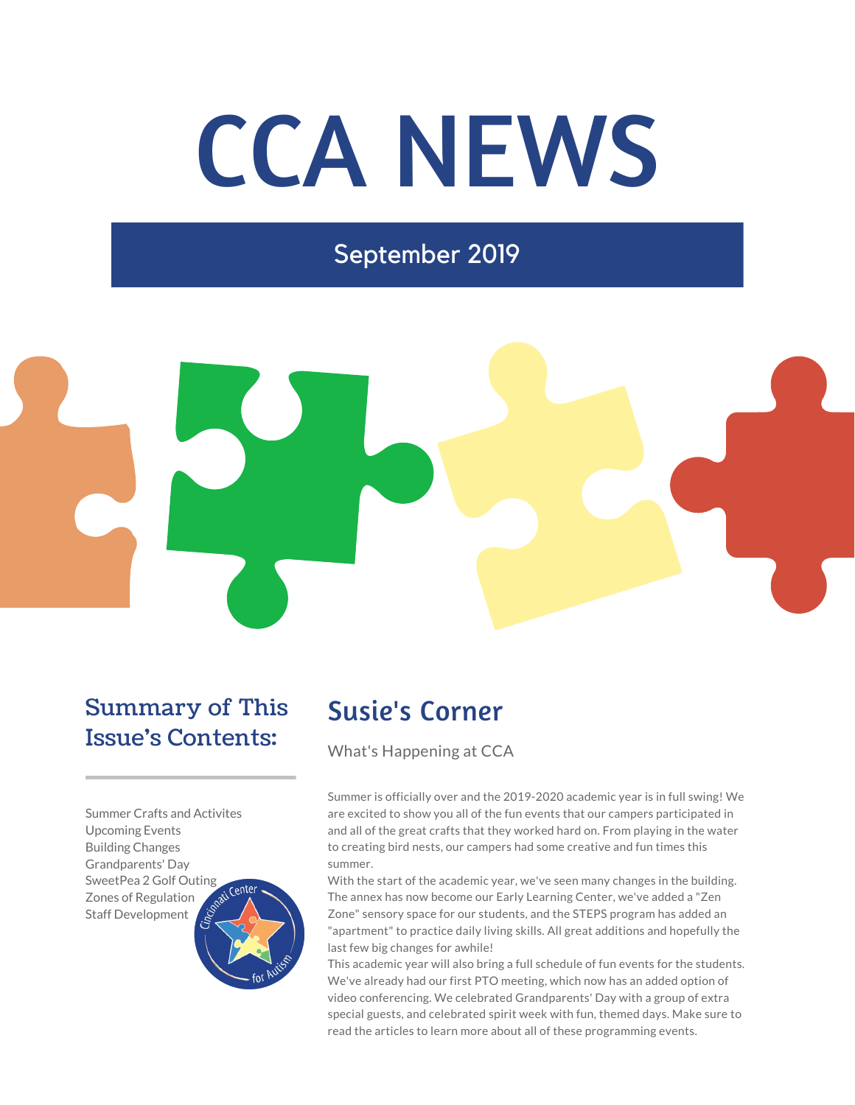# CCA NEWS

September 2019



## Summary of This Issue's Contents:

Summer Crafts and Activites Upcoming Events Building Changes Grandparents' Day SweetPea 2 Golf Outing Center Zones of Regulation Staff Development



## Susie's Corner

What's Happening at CCA

Summer is officially over and the 2019-2020 academic year is in full swing! We are excited to show you all of the fun events that our campers participated in and all of the great crafts that they worked hard on. From playing in the water to creating bird nests, our campers had some creative and fun times this summer.

With the start of the academic year, we've seen many changes in the building. The annex has now become our Early Learning Center, we've added a "Zen Zone" sensory space for our students, and the STEPS program has added an "apartment" to practice daily living skills. All great additions and hopefully the last few big changes for awhile!

This academic year will also bring a full schedule of fun events for the students. We've already had our first PTO meeting, which now has an added option of video conferencing. We celebrated Grandparents' Day with a group of extra special guests, and celebrated spirit week with fun, themed days. Make sure to read the articles to learn more about all of these programming events.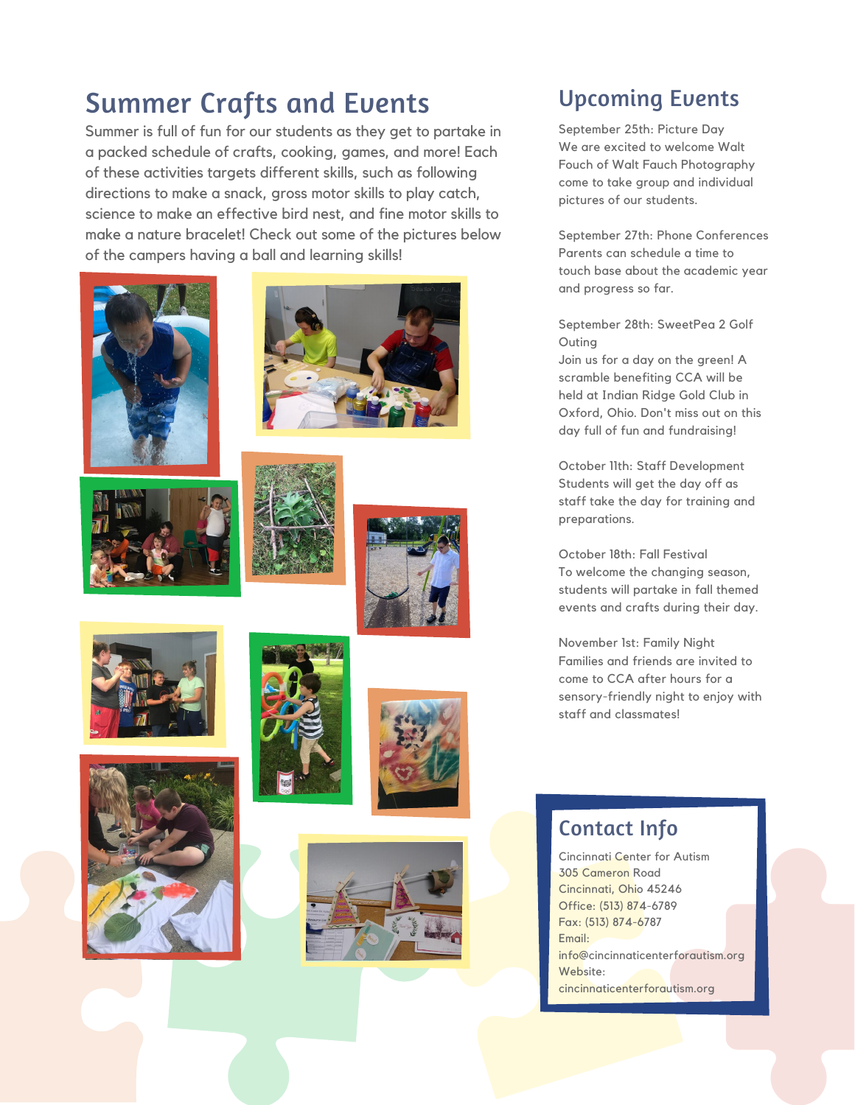## Summer Crafts and Events

Summer is full of fun for our students as they get to partake in a packed schedule of crafts, cooking, games, and more! Each of these activities targets different skills, such as following directions to make a snack, gross motor skills to play catch, science to make an effective bird nest, and fine motor skills to make a nature bracelet! Check out some of the pictures below of the campers having a ball and learning skills!

















### Upcoming Events

September 25th: Picture Day We are excited to welcome Walt Fouch of Walt Fauch Photography come to take group and individual pictures of our students.

September 27th: Phone Conferences Parents can schedule a time to touch base about the academic year and progress so far.

September 28th: SweetPea 2 Golf Outing

Join us for a day on the green! A scramble benefiting CCA will be held at Indian Ridge Gold Club in Oxford, Ohio. Don't miss out on this day full of fun and fundraising!

October 11th: Staff Development Students will get the day off as staff take the day for training and preparations.

October 18th: Fall Festival To welcome the changing season, students will partake in fall themed events and crafts during their day.

November 1st: Family Night Families and friends are invited to come to CCA after hours for a sensory-friendly night to enjoy with staff and classmates!

#### Contact Info

Cincinnati Center for Autism 305 Cameron Road Cincinnati, Ohio 45246 Office: (513) 874-6789 Fax: (513) 874-6787 Email: info@cincinnaticenterforautism.org Website: cincinnaticenterforautism.org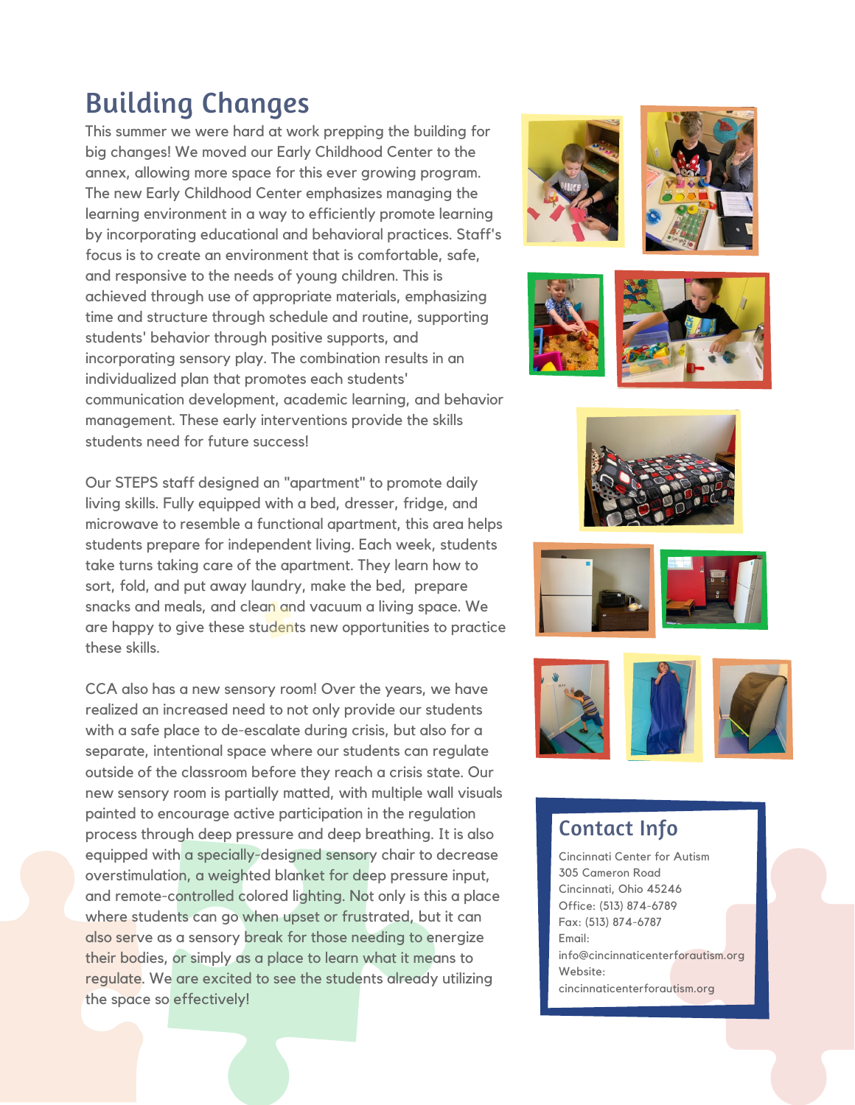## Building Changes

This summer we were hard at work prepping the building for big changes! We moved our Early Childhood Center to the annex, allowing more space for this ever growing program. The new Early Childhood Center emphasizes managing the learning environment in a way to efficiently promote learning by incorporating educational and behavioral practices. Staff's focus is to create an environment that is comfortable, safe, and responsive to the needs of young children. This is achieved through use of appropriate materials, emphasizing time and structure through schedule and routine, supporting students' behavior through positive supports, and incorporating sensory play. The combination results in an individualized plan that promotes each students' communication development, academic learning, and behavior management. These early interventions provide the skills students need for future success!

Our STEPS staff designed an "apartment" to promote daily living skills. Fully equipped with a bed, dresser, fridge, and microwave to resemble a functional apartment, this area helps students prepare for independent living. Each week, students take turns taking care of the apartment. They learn how to sort, fold, and put away laundry, make the bed, prepare snacks and meals, and clean and vacuum a living space. We are happy to give these students new opportunities to practice these skills.

CCA also has a new sensory room! Over the years, we have realized an increased need to not only provide our students with a safe place to de-escalate during crisis, but also for a separate, intentional space where our students can regulate outside of the classroom before they reach a crisis state. Our new sensory room is partially matted, with multiple wall visuals painted to encourage active participation in the regulation process through deep pressure and deep breathing. It is also equipped with a specially-designed sensory chair to decrease overstimulation, a weighted blanket for deep pressure input, and remote-controlled colored lighting. Not only is this a place where students can go when upset or frustrated, but it can also serve as a sensory break for those needing to energize their bodies, or simply as a place to learn what it means to regulate. We are excited to see the students already utilizing the space so effectively!











#### Contact Info

Cincinnati Center for Autism 305 Cameron Road Cincinnati, Ohio 45246 Office: (513) 874-6789 Fax: (513) 874-6787 Email: info@cincinnaticenterforautism.org Website: cincinnaticenterforautism.org